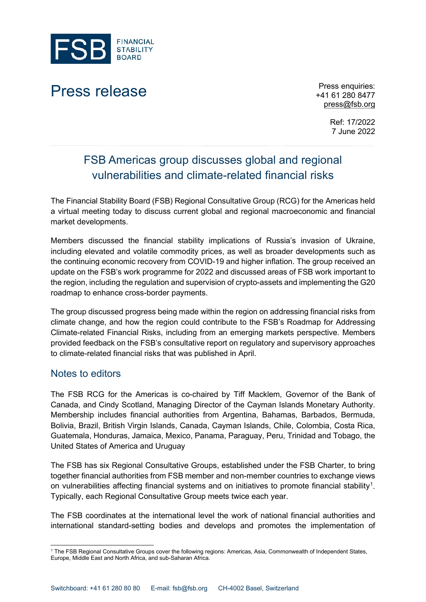

## Press release Press enquiries:

+41 61 280 8477 [press@fsb.org](mailto:press@fsb.org)

> Ref: 17/2022 7 June 2022

## FSB Americas group discusses global and regional vulnerabilities and climate-related financial risks

The Financial Stability Board (FSB) Regional Consultative Group (RCG) for the Americas held a virtual meeting today to discuss current global and regional macroeconomic and financial market developments.

Members discussed the financial stability implications of Russia's invasion of Ukraine, including elevated and volatile commodity prices, as well as broader developments such as the continuing economic recovery from COVID-19 and higher inflation. The group received an update on the FSB's work programme for 2022 and discussed areas of FSB work important to the region, including the regulation and supervision of crypto-assets and implementing the G20 roadmap to enhance cross-border payments.

The group discussed progress being made within the region on addressing financial risks from climate change, and how the region could contribute to the FSB's Roadmap for Addressing Climate-related Financial Risks, including from an emerging markets perspective. Members provided feedback on the FSB's consultative report on regulatory and supervisory approaches to climate-related financial risks that was published in April.

## Notes to editors

The FSB RCG for the Americas is co-chaired by Tiff Macklem, Governor of the Bank of Canada, and Cindy Scotland, Managing Director of the Cayman Islands Monetary Authority. Membership includes financial authorities from Argentina, Bahamas, Barbados, Bermuda, Bolivia, Brazil, British Virgin Islands, Canada, Cayman Islands, Chile, Colombia, Costa Rica, Guatemala, Honduras, Jamaica, Mexico, Panama, Paraguay, Peru, Trinidad and Tobago, the United States of America and Uruguay

The FSB has six Regional Consultative Groups, established under the FSB Charter, to bring together financial authorities from FSB member and non-member countries to exchange views on vulnerabilities affecting financial systems and on initiatives to promote financial stability<sup>[1](#page-0-0)</sup>. Typically, each Regional Consultative Group meets twice each year.

The FSB coordinates at the international level the work of national financial authorities and international standard-setting bodies and develops and promotes the implementation of

<span id="page-0-0"></span><sup>1</sup> The FSB Regional Consultative Groups cover the following regions: Americas, Asia, Commonwealth of Independent States, Europe, Middle East and North Africa, and sub-Saharan Africa.